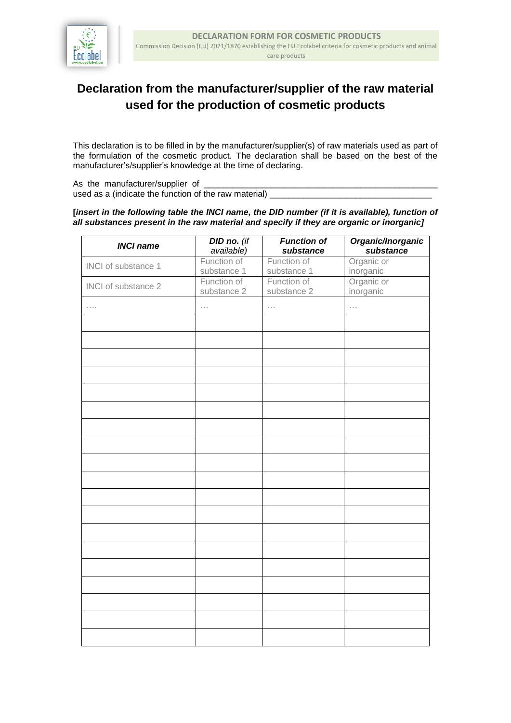

# **Declaration from the manufacturer/supplier of the raw material used for the production of cosmetic products**

This declaration is to be filled in by the manufacturer/supplier(s) of raw materials used as part of the formulation of the cosmetic product. The declaration shall be based on the best of the manufacturer's/supplier's knowledge at the time of declaring.

As the manufacturer/supplier of used as a (indicate the function of the raw material)

#### **[***insert in the following table the INCI name, the DID number (if it is available), function of all substances present in the raw material and specify if they are organic or inorganic]*

| <b>INCI name</b>     | DID no. (if<br>available)  | <b>Function of</b><br>substance | Organic/Inorganic<br>substance |
|----------------------|----------------------------|---------------------------------|--------------------------------|
| INCI of substance 1  | Function of<br>substance 1 | Function of<br>substance 1      | Organic or<br>inorganic        |
| INCI of substance 2  | Function of<br>substance 2 | Function of<br>substance 2      | Organic or<br>inorganic        |
| $\sim$ $\sim$ $\sim$ | $\cdots$                   | $\cdots$                        | $\cdots$                       |
|                      |                            |                                 |                                |
|                      |                            |                                 |                                |
|                      |                            |                                 |                                |
|                      |                            |                                 |                                |
|                      |                            |                                 |                                |
|                      |                            |                                 |                                |
|                      |                            |                                 |                                |
|                      |                            |                                 |                                |
|                      |                            |                                 |                                |
|                      |                            |                                 |                                |
|                      |                            |                                 |                                |
|                      |                            |                                 |                                |
|                      |                            |                                 |                                |
|                      |                            |                                 |                                |
|                      |                            |                                 |                                |
|                      |                            |                                 |                                |
|                      |                            |                                 |                                |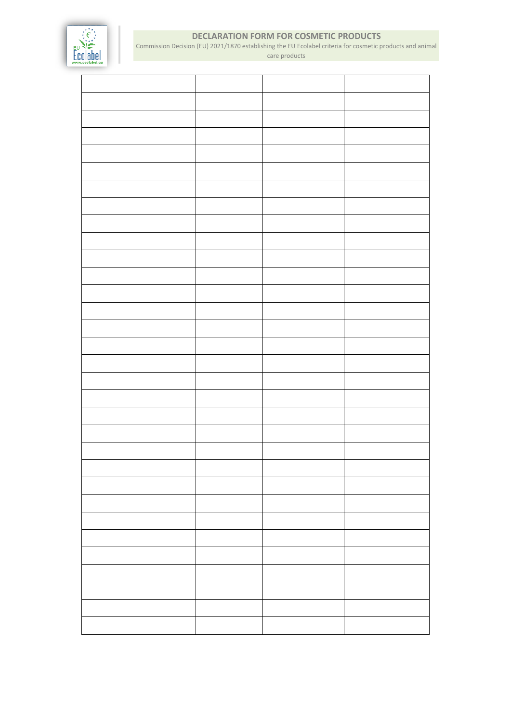

#### **DECLARATION FORM FOR COSMETIC PRODUCTS**

Commission Decision (EU) 2021/1870 establishing the EU Ecolabel criteria for cosmetic products and animal care products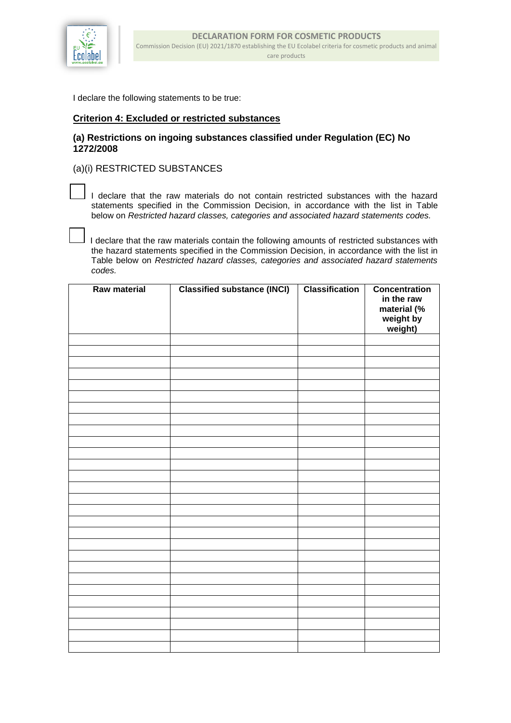

I declare the following statements to be true:

#### **Criterion 4: Excluded or restricted substances**

#### **(a) Restrictions on ingoing substances classified under Regulation (EC) No 1272/2008**

#### (a)(i) RESTRICTED SUBSTANCES

I declare that the raw materials do not contain restricted substances with the hazard statements specified in the Commission Decision, in accordance with the list in Table below on *Restricted hazard classes, categories and associated hazard statements codes.*

I declare that the raw materials contain the following amounts of restricted substances with the hazard statements specified in the Commission Decision, in accordance with the list in Table below on *Restricted hazard classes, categories and associated hazard statements codes.*

| Raw material | <b>Classified substance (INCI)</b> | <b>Classification</b> | Concentration<br>in the raw<br>material (%<br>weight by<br>weight) |
|--------------|------------------------------------|-----------------------|--------------------------------------------------------------------|
|              |                                    |                       |                                                                    |
|              |                                    |                       |                                                                    |
|              |                                    |                       |                                                                    |
|              |                                    |                       |                                                                    |
|              |                                    |                       |                                                                    |
|              |                                    |                       |                                                                    |
|              |                                    |                       |                                                                    |
|              |                                    |                       |                                                                    |
|              |                                    |                       |                                                                    |
|              |                                    |                       |                                                                    |
|              |                                    |                       |                                                                    |
|              |                                    |                       |                                                                    |
|              |                                    |                       |                                                                    |
|              |                                    |                       |                                                                    |
|              |                                    |                       |                                                                    |
|              |                                    |                       |                                                                    |
|              |                                    |                       |                                                                    |
|              |                                    |                       |                                                                    |
|              |                                    |                       |                                                                    |
|              |                                    |                       |                                                                    |
|              |                                    |                       |                                                                    |
|              |                                    |                       |                                                                    |
|              |                                    |                       |                                                                    |
|              |                                    |                       |                                                                    |
|              |                                    |                       |                                                                    |
|              |                                    |                       |                                                                    |
|              |                                    |                       |                                                                    |
|              |                                    |                       |                                                                    |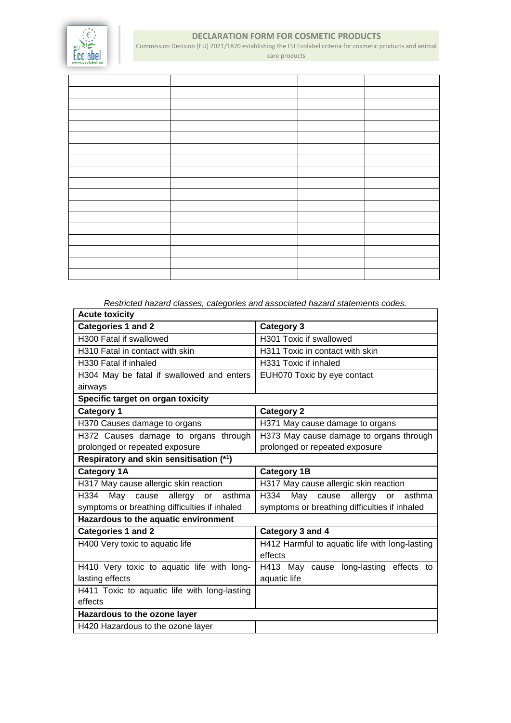

#### **DECLARATION FORM FOR COSMETIC PRODUCTS**

Commission Decision (EU) 2021/1870 establishing the EU Ecolabel criteria for cosmetic products and animal care products

*Restricted hazard classes, categories and associated hazard statements codes.*

| <b>Acute toxicity</b>                         |                                                |
|-----------------------------------------------|------------------------------------------------|
| <b>Categories 1 and 2</b>                     | Category 3                                     |
| H300 Fatal if swallowed                       | H301 Toxic if swallowed                        |
| H310 Fatal in contact with skin               | H311 Toxic in contact with skin                |
| H330 Fatal if inhaled                         | H331 Toxic if inhaled                          |
| H304 May be fatal if swallowed and enters     | EUH070 Toxic by eye contact                    |
| airways                                       |                                                |
| Specific target on organ toxicity             |                                                |
| <b>Category 1</b>                             | <b>Category 2</b>                              |
| H370 Causes damage to organs                  | H371 May cause damage to organs                |
| H372 Causes damage to organs through          | H373 May cause damage to organs through        |
| prolonged or repeated exposure                | prolonged or repeated exposure                 |
| Respiratory and skin sensitisation (*1)       |                                                |
| <b>Category 1A</b>                            | <b>Category 1B</b>                             |
| H317 May cause allergic skin reaction         | H317 May cause allergic skin reaction          |
| H334<br>May cause<br>allergy or<br>asthma     | May cause<br>allergy<br>H334<br>or<br>asthma   |
| symptoms or breathing difficulties if inhaled | symptoms or breathing difficulties if inhaled  |
| Hazardous to the aquatic environment          |                                                |
| <b>Categories 1 and 2</b>                     | Category 3 and 4                               |
| H400 Very toxic to aquatic life               | H412 Harmful to aquatic life with long-lasting |
|                                               | effects                                        |
| H410 Very toxic to aquatic life with long-    | H413 May cause long-lasting effects to         |
| lasting effects                               | aquatic life                                   |
| H411 Toxic to aquatic life with long-lasting  |                                                |
| effects                                       |                                                |
| Hazardous to the ozone layer                  |                                                |
| H420 Hazardous to the ozone layer             |                                                |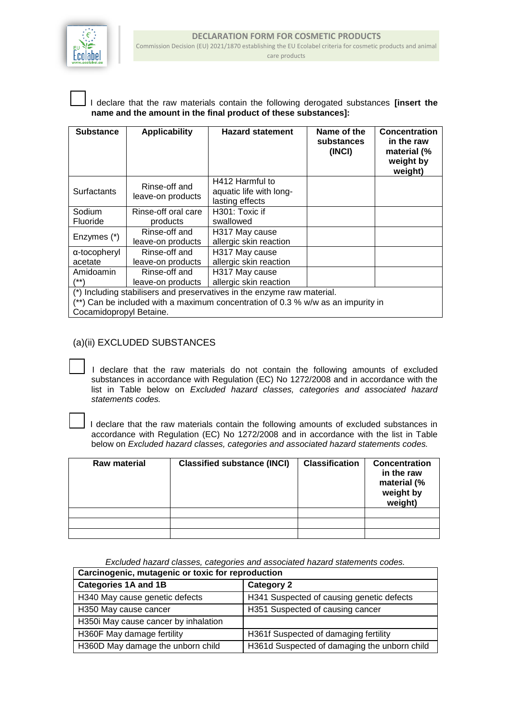

I declare that the raw materials contain the following derogated substances **[insert the name and the amount in the final product of these substances]:**

| <b>Substance</b>                                                                                                                                                                         | <b>Applicability</b>               | <b>Hazard statement</b>                                       | Name of the<br>substances<br>(INCI) | Concentration<br>in the raw<br>material (%<br>weight by<br>weight) |  |  |
|------------------------------------------------------------------------------------------------------------------------------------------------------------------------------------------|------------------------------------|---------------------------------------------------------------|-------------------------------------|--------------------------------------------------------------------|--|--|
| <b>Surfactants</b>                                                                                                                                                                       | Rinse-off and<br>leave-on products | H412 Harmful to<br>aquatic life with long-<br>lasting effects |                                     |                                                                    |  |  |
| Sodium<br>Fluoride                                                                                                                                                                       | Rinse-off oral care<br>products    | H <sub>301</sub> : Toxic if<br>swallowed                      |                                     |                                                                    |  |  |
| Enzymes (*)                                                                                                                                                                              | Rinse-off and<br>leave-on products | H317 May cause<br>allergic skin reaction                      |                                     |                                                                    |  |  |
| a-tocopheryl<br>acetate                                                                                                                                                                  | Rinse-off and<br>leave-on products | H317 May cause<br>allergic skin reaction                      |                                     |                                                                    |  |  |
| Amidoamin<br>/**'                                                                                                                                                                        | Rinse-off and<br>leave-on products | H317 May cause<br>allergic skin reaction                      |                                     |                                                                    |  |  |
| (*) Including stabilisers and preservatives in the enzyme raw material.<br>$(**)$ Can be included with a maximum concentration of 0.3 % w/w as an impurity in<br>Cocamidopropyl Betaine. |                                    |                                                               |                                     |                                                                    |  |  |

# (a)(ii) EXCLUDED SUBSTANCES

I declare that the raw materials do not contain the following amounts of excluded substances in accordance with Regulation (EC) No 1272/2008 and in accordance with the list in Table below on *Excluded hazard classes, categories and associated hazard statements codes.*

I declare that the raw materials contain the following amounts of excluded substances in accordance with Regulation (EC) No 1272/2008 and in accordance with the list in Table below on *Excluded hazard classes, categories and associated hazard statements codes.*

| Raw material | <b>Classified substance (INCI)</b> | <b>Classification</b> | <b>Concentration</b><br>in the raw<br>material (%<br>weight by<br>weight) |
|--------------|------------------------------------|-----------------------|---------------------------------------------------------------------------|
|              |                                    |                       |                                                                           |
|              |                                    |                       |                                                                           |
|              |                                    |                       |                                                                           |

*Excluded hazard classes, categories and associated hazard statements codes.*

| Carcinogenic, mutagenic or toxic for reproduction |                                              |  |  |  |
|---------------------------------------------------|----------------------------------------------|--|--|--|
| <b>Categories 1A and 1B</b>                       | <b>Category 2</b>                            |  |  |  |
| H340 May cause genetic defects                    | H341 Suspected of causing genetic defects    |  |  |  |
| H350 May cause cancer                             | H351 Suspected of causing cancer             |  |  |  |
| H350i May cause cancer by inhalation              |                                              |  |  |  |
| H360F May damage fertility                        | H361f Suspected of damaging fertility        |  |  |  |
| H360D May damage the unborn child                 | H361d Suspected of damaging the unborn child |  |  |  |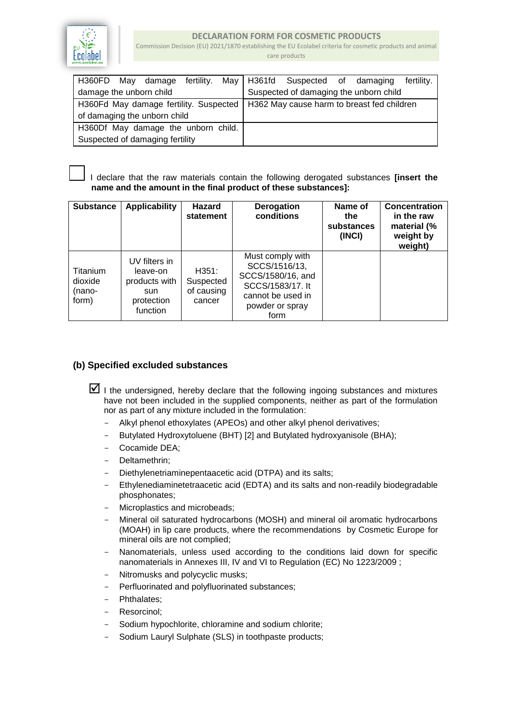

| H360FD May                                                        | damage fertility.                                                                    |  |  |  | May   H361fd Suspected of damaging |  |  | fertility. |
|-------------------------------------------------------------------|--------------------------------------------------------------------------------------|--|--|--|------------------------------------|--|--|------------|
| Suspected of damaging the unborn child<br>damage the unborn child |                                                                                      |  |  |  |                                    |  |  |            |
|                                                                   | H360Fd May damage fertility. Suspected<br>H362 May cause harm to breast fed children |  |  |  |                                    |  |  |            |
|                                                                   | of damaging the unborn child                                                         |  |  |  |                                    |  |  |            |
| H360Df May damage the unborn child.                               |                                                                                      |  |  |  |                                    |  |  |            |
| Suspected of damaging fertility                                   |                                                                                      |  |  |  |                                    |  |  |            |

I declare that the raw materials contain the following derogated substances **[insert the name and the amount in the final product of these substances]:**

| <b>Substance</b>                       | <b>Applicability</b>                                                        | Hazard<br>statement                        | <b>Derogation</b><br>conditions                                                                                            | Name of<br>the.<br>substances<br>(INCI) | <b>Concentration</b><br>in the raw<br>material (%<br>weight by<br>weight) |
|----------------------------------------|-----------------------------------------------------------------------------|--------------------------------------------|----------------------------------------------------------------------------------------------------------------------------|-----------------------------------------|---------------------------------------------------------------------------|
| Titanium<br>dioxide<br>(nano-<br>form) | UV filters in<br>leave-on<br>products with<br>sun<br>protection<br>function | H351:<br>Suspected<br>of causing<br>cancer | Must comply with<br>SCCS/1516/13,<br>SCCS/1580/16, and<br>SCCS/1583/17. It<br>cannot be used in<br>powder or spray<br>form |                                         |                                                                           |

# **(b) Specified excluded substances**

- $\Box$  I the undersigned, hereby declare that the following ingoing substances and mixtures have not been included in the supplied components, neither as part of the formulation nor as part of any mixture included in the formulation:
	- Alkyl phenol ethoxylates (APEOs) and other alkyl phenol derivatives;
	- Butylated Hydroxytoluene (BHT) [2] and Butylated hydroxyanisole (BHA);
	- Cocamide DEA;
	- Deltamethrin;
	- Diethylenetriaminepentaacetic acid (DTPA) and its salts;
	- Ethylenediaminetetraacetic acid (EDTA) and its salts and non-readily biodegradable phosphonates;
	- Microplastics and microbeads;
	- Mineral oil saturated hydrocarbons (MOSH) and mineral oil aromatic hydrocarbons (MOAH) in lip care products, where the recommendations by Cosmetic Europe for mineral oils are not complied;
	- Nanomaterials, unless used according to the conditions laid down for specific nanomaterials in Annexes III, IV and VI to Regulation (EC) No 1223/2009 ;
	- Nitromusks and polycyclic musks;
	- Perfluorinated and polyfluorinated substances;
	- Phthalates;
	- Resorcinol;
	- Sodium hypochlorite, chloramine and sodium chlorite;
	- Sodium Lauryl Sulphate (SLS) in toothpaste products;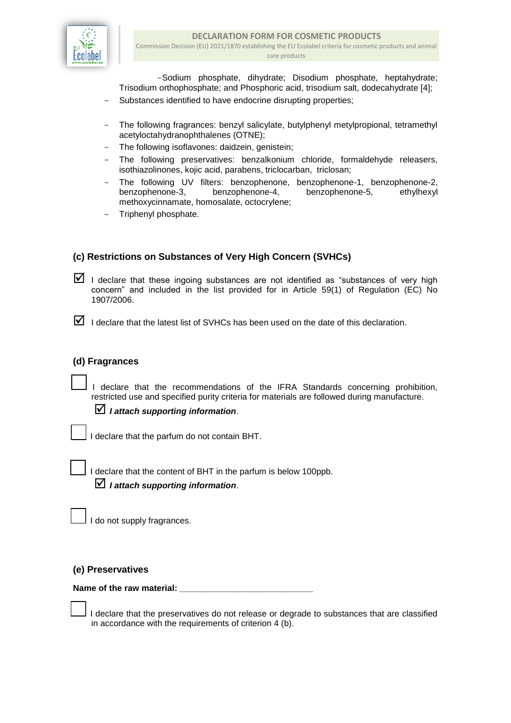

-Sodium phosphate, dihydrate; Disodium phosphate, heptahydrate; Trisodium orthophosphate; and Phosphoric acid, trisodium salt, dodecahydrate [4];

- Substances identified to have endocrine disrupting properties;
- The following fragrances: benzyl salicylate, butylphenyl metylpropional, tetramethyl acetyloctahydranophthalenes (OTNE);
- The following isoflavones: daidzein, genistein;
- The following preservatives: benzalkonium chloride, formaldehyde releasers, isothiazolinones, kojic acid, parabens, triclocarban, triclosan;
- The following UV filters: benzophenone, benzophenone-1, benzophenone-2, benzophenone-3, benzophenone-4, benzophenone-5, ethylhexyl methoxycinnamate, homosalate, octocrylene;
- Triphenyl phosphate.

# **(c) Restrictions on Substances of Very High Concern (SVHCs)**

 $\Box$  I declare that these ingoing substances are not identified as "substances of very high concern" and included in the list provided for in Article 59(1) of Regulation (EC) No 1907/2006.

 $\Box$  I declare that the latest list of SVHCs has been used on the date of this declaration.

# **(d) Fragrances**

I declare that the recommendations of the IFRA Standards concerning prohibition, restricted use and specified purity criteria for materials are followed during manufacture.

# *I attach supporting information*.

I declare that the parfum do not contain BHT.

I declare that the content of BHT in the parfum is below 100ppb.

*<sup>I</sup> attach supporting information*.

I do not supply fragrances.

# **(e) Preservatives**

Name of the raw material:

I declare that the preservatives do not release or degrade to substances that are classified in accordance with the requirements of criterion 4 (b).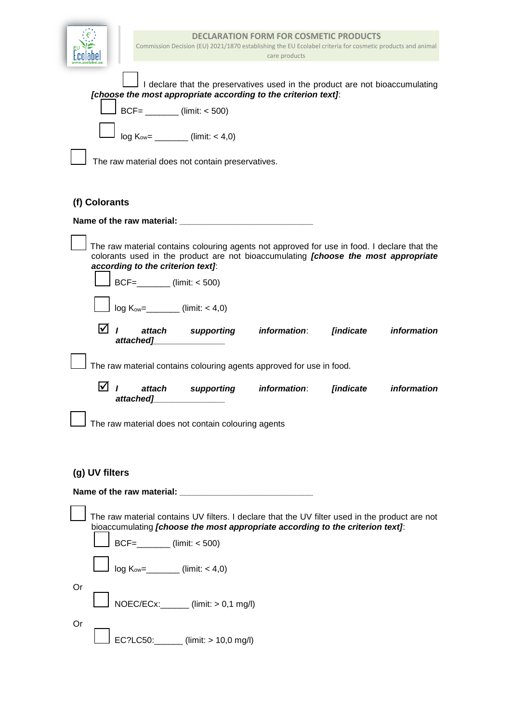|                                                                                                                                                                                                                               | <b>DECLARATION FORM FOR COSMETIC PRODUCTS</b><br>care products | Commission Decision (EU) 2021/1870 establishing the EU Ecolabel criteria for cosmetic products and animal |  |
|-------------------------------------------------------------------------------------------------------------------------------------------------------------------------------------------------------------------------------|----------------------------------------------------------------|-----------------------------------------------------------------------------------------------------------|--|
| [choose the most appropriate according to the criterion text]:                                                                                                                                                                |                                                                | I declare that the preservatives used in the product are not bioaccumulating                              |  |
|                                                                                                                                                                                                                               |                                                                |                                                                                                           |  |
| $log K_{ow} =$ (limit: < 4,0)                                                                                                                                                                                                 |                                                                |                                                                                                           |  |
| The raw material does not contain preservatives.                                                                                                                                                                              |                                                                |                                                                                                           |  |
| (f) Colorants                                                                                                                                                                                                                 |                                                                |                                                                                                           |  |
|                                                                                                                                                                                                                               |                                                                |                                                                                                           |  |
| The raw material contains colouring agents not approved for use in food. I declare that the<br>colorants used in the product are not bioaccumulating <i>[choose the most appropriate</i><br>according to the criterion text]: |                                                                |                                                                                                           |  |
| $BCF =$ (limit: < 500)                                                                                                                                                                                                        |                                                                |                                                                                                           |  |
| $log K_{ow} =$ (limit: < 4,0)                                                                                                                                                                                                 |                                                                |                                                                                                           |  |
| M<br>$\mathbf{I}$                                                                                                                                                                                                             | attach supporting information:                                 | information<br><i>[indicate</i>                                                                           |  |
| The raw material contains colouring agents approved for use in food.                                                                                                                                                          |                                                                |                                                                                                           |  |
| $\sqrt{ }$ <i>I</i> attach                                                                                                                                                                                                    | supporting information:                                        | <i>[indicate</i><br>information                                                                           |  |
| attached]                                                                                                                                                                                                                     |                                                                |                                                                                                           |  |
| The raw material does not contain colouring agents                                                                                                                                                                            |                                                                |                                                                                                           |  |
|                                                                                                                                                                                                                               |                                                                |                                                                                                           |  |
|                                                                                                                                                                                                                               |                                                                |                                                                                                           |  |
| (g) UV filters                                                                                                                                                                                                                |                                                                |                                                                                                           |  |
|                                                                                                                                                                                                                               |                                                                |                                                                                                           |  |
| The raw material contains UV filters. I declare that the UV filter used in the product are not<br>bioaccumulating [choose the most appropriate according to the criterion text]:                                              |                                                                |                                                                                                           |  |
| $BCF =$ (limit: < 500)                                                                                                                                                                                                        |                                                                |                                                                                                           |  |
| $log K_{ow} =$ (limit: < 4,0)                                                                                                                                                                                                 |                                                                |                                                                                                           |  |
| Or<br>$NOEC/ECx:$ (limit: > 0,1 mg/l)                                                                                                                                                                                         |                                                                |                                                                                                           |  |